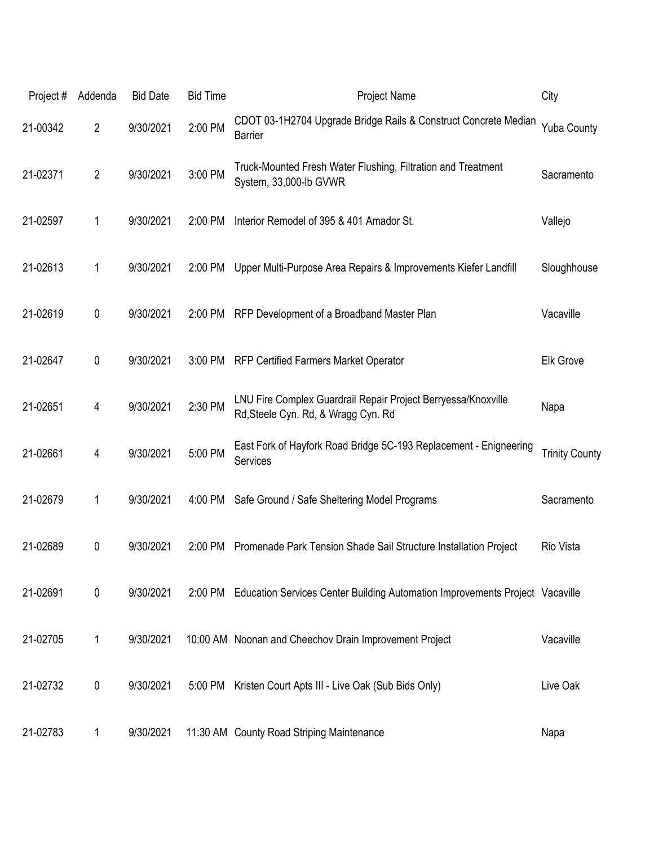| Project# | Addenda        | <b>Bid Date</b> | <b>Bid Time</b> | <b>Project Name</b>                                                                                  | City                  |
|----------|----------------|-----------------|-----------------|------------------------------------------------------------------------------------------------------|-----------------------|
| 21-00342 | $\overline{2}$ | 9/30/2021       | 2:00 PM         | CDOT 03-1H2704 Upgrade Bridge Rails & Construct Concrete Median<br><b>Barrier</b>                    | <b>Yuba County</b>    |
| 21-02371 | $\overline{2}$ | 9/30/2021       | 3:00 PM         | Truck-Mounted Fresh Water Flushing, Filtration and Treatment<br>System, 33,000-lb GVWR               | Sacramento            |
| 21-02597 | 1              | 9/30/2021       | 2:00 PM         | Interior Remodel of 395 & 401 Amador St.                                                             | Vallejo               |
| 21-02613 | 1              | 9/30/2021       | 2:00 PM         | Upper Multi-Purpose Area Repairs & Improvements Kiefer Landfill                                      | Sloughhouse           |
| 21-02619 | 0              | 9/30/2021       | 2:00 PM         | RFP Development of a Broadband Master Plan                                                           | Vacaville             |
| 21-02647 | 0              | 9/30/2021       | 3:00 PM         | RFP Certified Farmers Market Operator                                                                | <b>Elk Grove</b>      |
| 21-02651 | 4              | 9/30/2021       | 2:30 PM         | LNU Fire Complex Guardrail Repair Project Berryessa/Knoxville<br>Rd, Steele Cyn. Rd, & Wragg Cyn. Rd | Napa                  |
| 21-02661 | 4              | 9/30/2021       | 5:00 PM         | East Fork of Hayfork Road Bridge 5C-193 Replacement - Enigneering<br>Services                        | <b>Trinity County</b> |
| 21-02679 | 1              | 9/30/2021       | 4:00 PM         | Safe Ground / Safe Sheltering Model Programs                                                         | Sacramento            |
| 21-02689 | 0              | 9/30/2021       | 2:00 PM         | Promenade Park Tension Shade Sail Structure Installation Project                                     | Rio Vista             |
| 21-02691 | 0              | 9/30/2021       |                 | 2:00 PM Education Services Center Building Automation Improvements Project Vacaville                 |                       |
| 21-02705 | 1              | 9/30/2021       |                 | 10:00 AM Noonan and Cheechov Drain Improvement Project                                               | Vacaville             |
| 21-02732 | 0              | 9/30/2021       | 5:00 PM         | Kristen Court Apts III - Live Oak (Sub Bids Only)                                                    | Live Oak              |
| 21-02783 | 1              | 9/30/2021       |                 | 11:30 AM County Road Striping Maintenance                                                            | Napa                  |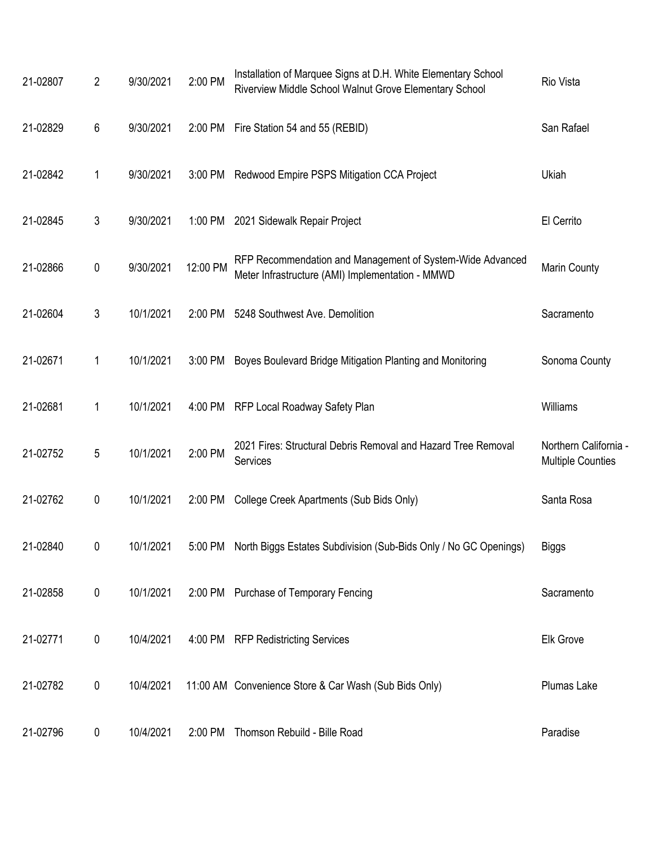| 21-02807 | 2           | 9/30/2021 | 2:00 PM  | Installation of Marquee Signs at D.H. White Elementary School<br>Riverview Middle School Walnut Grove Elementary School | Rio Vista                                         |
|----------|-------------|-----------|----------|-------------------------------------------------------------------------------------------------------------------------|---------------------------------------------------|
| 21-02829 | 6           | 9/30/2021 |          | 2:00 PM Fire Station 54 and 55 (REBID)                                                                                  | San Rafael                                        |
| 21-02842 | $\mathbf 1$ | 9/30/2021 |          | 3:00 PM Redwood Empire PSPS Mitigation CCA Project                                                                      | Ukiah                                             |
| 21-02845 | 3           | 9/30/2021 |          | 1:00 PM 2021 Sidewalk Repair Project                                                                                    | El Cerrito                                        |
| 21-02866 | 0           | 9/30/2021 | 12:00 PM | RFP Recommendation and Management of System-Wide Advanced<br>Meter Infrastructure (AMI) Implementation - MMWD           | Marin County                                      |
| 21-02604 | 3           | 10/1/2021 | 2:00 PM  | 5248 Southwest Ave. Demolition                                                                                          | Sacramento                                        |
| 21-02671 | 1           | 10/1/2021 | 3:00 PM  | Boyes Boulevard Bridge Mitigation Planting and Monitoring                                                               | Sonoma County                                     |
| 21-02681 | 1           | 10/1/2021 |          | 4:00 PM RFP Local Roadway Safety Plan                                                                                   | Williams                                          |
| 21-02752 | 5           | 10/1/2021 | 2:00 PM  | 2021 Fires: Structural Debris Removal and Hazard Tree Removal<br>Services                                               | Northern California -<br><b>Multiple Counties</b> |
| 21-02762 | 0           | 10/1/2021 | 2:00 PM  | College Creek Apartments (Sub Bids Only)                                                                                | Santa Rosa                                        |
| 21-02840 | 0           | 10/1/2021 |          | 5:00 PM North Biggs Estates Subdivision (Sub-Bids Only / No GC Openings)                                                | Biggs                                             |
| 21-02858 | $\pmb{0}$   | 10/1/2021 |          | 2:00 PM Purchase of Temporary Fencing                                                                                   | Sacramento                                        |
| 21-02771 | 0           | 10/4/2021 |          | 4:00 PM RFP Redistricting Services                                                                                      | Elk Grove                                         |
| 21-02782 | 0           | 10/4/2021 |          | 11:00 AM Convenience Store & Car Wash (Sub Bids Only)                                                                   | Plumas Lake                                       |
| 21-02796 | 0           | 10/4/2021 |          | 2:00 PM Thomson Rebuild - Bille Road                                                                                    | Paradise                                          |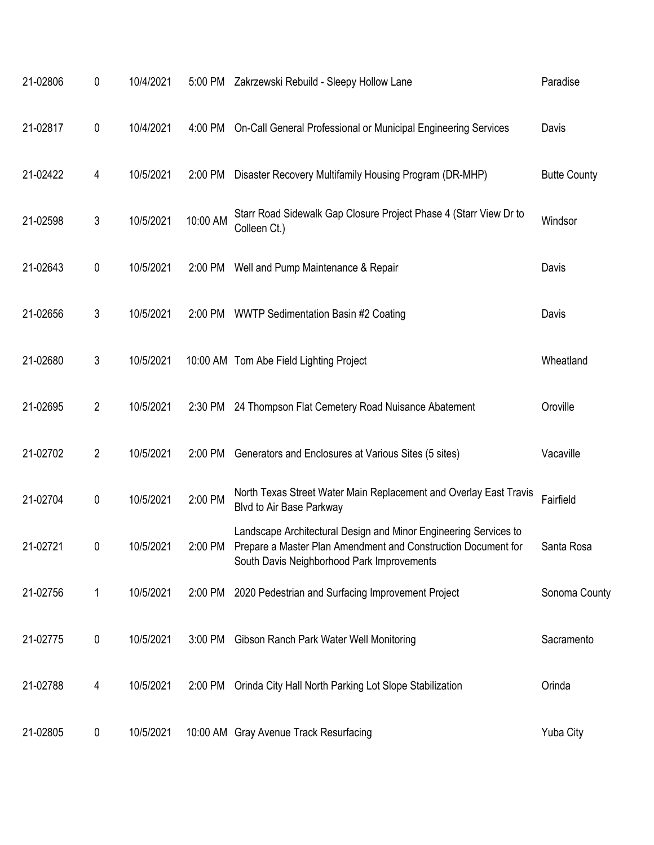| 21-02806 | 0              | 10/4/2021 |           | 5:00 PM Zakrzewski Rebuild - Sleepy Hollow Lane                                                                                                                                 | Paradise            |
|----------|----------------|-----------|-----------|---------------------------------------------------------------------------------------------------------------------------------------------------------------------------------|---------------------|
| 21-02817 | 0              | 10/4/2021 | 4:00 PM   | On-Call General Professional or Municipal Engineering Services                                                                                                                  | Davis               |
| 21-02422 | 4              | 10/5/2021 | 2:00 PM   | Disaster Recovery Multifamily Housing Program (DR-MHP)                                                                                                                          | <b>Butte County</b> |
| 21-02598 | 3              | 10/5/2021 | 10:00 AM  | Starr Road Sidewalk Gap Closure Project Phase 4 (Starr View Dr to<br>Colleen Ct.)                                                                                               | Windsor             |
| 21-02643 | 0              | 10/5/2021 |           | 2:00 PM Well and Pump Maintenance & Repair                                                                                                                                      | Davis               |
| 21-02656 | 3              | 10/5/2021 | 2:00 PM   | <b>WWTP Sedimentation Basin #2 Coating</b>                                                                                                                                      | Davis               |
| 21-02680 | 3              | 10/5/2021 |           | 10:00 AM Tom Abe Field Lighting Project                                                                                                                                         | Wheatland           |
| 21-02695 | $\overline{2}$ | 10/5/2021 | 2:30 PM   | 24 Thompson Flat Cemetery Road Nuisance Abatement                                                                                                                               | Oroville            |
| 21-02702 | $\overline{2}$ | 10/5/2021 | 2:00 PM   | Generators and Enclosures at Various Sites (5 sites)                                                                                                                            | Vacaville           |
| 21-02704 | 0              | 10/5/2021 | 2:00 PM   | North Texas Street Water Main Replacement and Overlay East Travis<br>Blvd to Air Base Parkway                                                                                   | Fairfield           |
| 21-02721 | 0              | 10/5/2021 | 2:00 PM   | Landscape Architectural Design and Minor Engineering Services to<br>Prepare a Master Plan Amendment and Construction Document for<br>South Davis Neighborhood Park Improvements | Santa Rosa          |
| 21-02756 | 1              | 10/5/2021 |           | 2:00 PM 2020 Pedestrian and Surfacing Improvement Project                                                                                                                       | Sonoma County       |
| 21-02775 | 0              | 10/5/2021 | $3:00$ PM | Gibson Ranch Park Water Well Monitoring                                                                                                                                         | Sacramento          |
| 21-02788 | 4              | 10/5/2021 | 2:00 PM   | Orinda City Hall North Parking Lot Slope Stabilization                                                                                                                          | Orinda              |
| 21-02805 | 0              | 10/5/2021 |           | 10:00 AM Gray Avenue Track Resurfacing                                                                                                                                          | Yuba City           |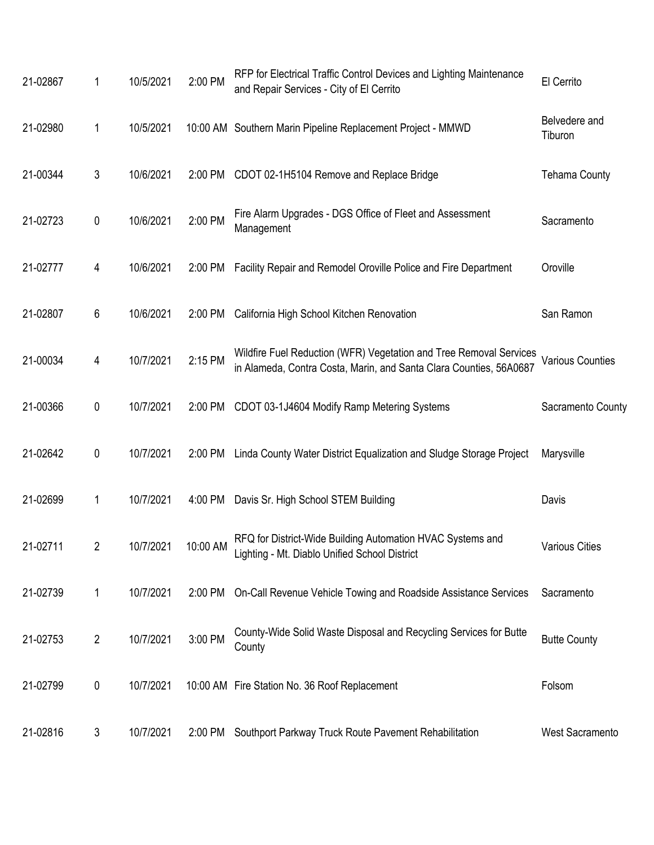| 21-02867 | 1              | 10/5/2021           | 2:00 PM | RFP for Electrical Traffic Control Devices and Lighting Maintenance<br>and Repair Services - City of El Cerrito                          | El Cerrito               |
|----------|----------------|---------------------|---------|------------------------------------------------------------------------------------------------------------------------------------------|--------------------------|
| 21-02980 | 1              | 10/5/2021           |         | 10:00 AM Southern Marin Pipeline Replacement Project - MMWD                                                                              | Belvedere and<br>Tiburon |
| 21-00344 | 3              | 10/6/2021           | 2:00 PM | CDOT 02-1H5104 Remove and Replace Bridge                                                                                                 | <b>Tehama County</b>     |
| 21-02723 | $\pmb{0}$      | 10/6/2021           | 2:00 PM | Fire Alarm Upgrades - DGS Office of Fleet and Assessment<br>Management                                                                   | Sacramento               |
| 21-02777 | 4              | 10/6/2021           | 2:00 PM | Facility Repair and Remodel Oroville Police and Fire Department                                                                          | Oroville                 |
| 21-02807 | 6              | 10/6/2021           | 2:00 PM | California High School Kitchen Renovation                                                                                                | San Ramon                |
| 21-00034 | 4              | 10/7/2021           | 2:15 PM | Wildfire Fuel Reduction (WFR) Vegetation and Tree Removal Services<br>in Alameda, Contra Costa, Marin, and Santa Clara Counties, 56A0687 | <b>Various Counties</b>  |
| 21-00366 | $\pmb{0}$      | 10/7/2021           | 2:00 PM | CDOT 03-1J4604 Modify Ramp Metering Systems                                                                                              | Sacramento County        |
| 21-02642 | 0              | 10/7/2021           | 2:00 PM | Linda County Water District Equalization and Sludge Storage Project                                                                      | Marysville               |
| 21-02699 | 1              | 10/7/2021           | 4:00 PM | Davis Sr. High School STEM Building                                                                                                      | Davis                    |
| 21-02711 | $\overline{2}$ | 10/7/2021  10:00 AM |         | RFQ for District-Wide Building Automation HVAC Systems and<br>Lighting - Mt. Diablo Unified School District                              | <b>Various Cities</b>    |
| 21-02739 | 1              | 10/7/2021           | 2:00 PM | On-Call Revenue Vehicle Towing and Roadside Assistance Services                                                                          | Sacramento               |
| 21-02753 | $\overline{2}$ | 10/7/2021           | 3:00 PM | County-Wide Solid Waste Disposal and Recycling Services for Butte<br>County                                                              | <b>Butte County</b>      |
| 21-02799 | 0              | 10/7/2021           |         | 10:00 AM Fire Station No. 36 Roof Replacement                                                                                            | Folsom                   |
| 21-02816 | 3              | 10/7/2021           | 2:00 PM | Southport Parkway Truck Route Pavement Rehabilitation                                                                                    | <b>West Sacramento</b>   |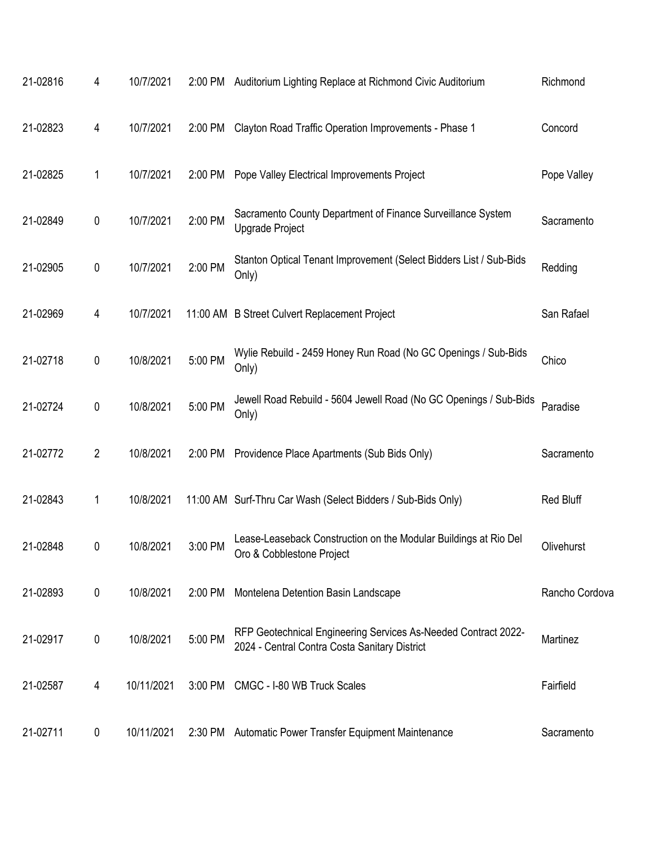| 21-02816 | 4              | 10/7/2021  | 2:00 PM | Auditorium Lighting Replace at Richmond Civic Auditorium                                                        | Richmond       |
|----------|----------------|------------|---------|-----------------------------------------------------------------------------------------------------------------|----------------|
| 21-02823 | 4              | 10/7/2021  | 2:00 PM | Clayton Road Traffic Operation Improvements - Phase 1                                                           | Concord        |
| 21-02825 | 1              | 10/7/2021  | 2:00 PM | Pope Valley Electrical Improvements Project                                                                     | Pope Valley    |
| 21-02849 | $\pmb{0}$      | 10/7/2021  | 2:00 PM | Sacramento County Department of Finance Surveillance System<br>Upgrade Project                                  | Sacramento     |
| 21-02905 | $\pmb{0}$      | 10/7/2021  | 2:00 PM | Stanton Optical Tenant Improvement (Select Bidders List / Sub-Bids<br>Only)                                     | Redding        |
| 21-02969 | 4              | 10/7/2021  |         | 11:00 AM B Street Culvert Replacement Project                                                                   | San Rafael     |
| 21-02718 | $\pmb{0}$      | 10/8/2021  | 5:00 PM | Wylie Rebuild - 2459 Honey Run Road (No GC Openings / Sub-Bids<br>Only)                                         | Chico          |
| 21-02724 | $\pmb{0}$      | 10/8/2021  | 5:00 PM | Jewell Road Rebuild - 5604 Jewell Road (No GC Openings / Sub-Bids<br>Only)                                      | Paradise       |
| 21-02772 | $\overline{2}$ | 10/8/2021  | 2:00 PM | Providence Place Apartments (Sub Bids Only)                                                                     | Sacramento     |
| 21-02843 | 1              | 10/8/2021  |         | 11:00 AM Surf-Thru Car Wash (Select Bidders / Sub-Bids Only)                                                    | Red Bluff      |
| 21-02848 | 0              | 10/8/2021  | 3:00 PM | Lease-Leaseback Construction on the Modular Buildings at Rio Del<br>Oro & Cobblestone Project                   | Olivehurst     |
| 21-02893 | 0              | 10/8/2021  | 2:00 PM | Montelena Detention Basin Landscape                                                                             | Rancho Cordova |
| 21-02917 | 0              | 10/8/2021  | 5:00 PM | RFP Geotechnical Engineering Services As-Needed Contract 2022-<br>2024 - Central Contra Costa Sanitary District | Martinez       |
| 21-02587 | 4              | 10/11/2021 | 3:00 PM | CMGC - I-80 WB Truck Scales                                                                                     | Fairfield      |
| 21-02711 | 0              | 10/11/2021 | 2:30 PM | Automatic Power Transfer Equipment Maintenance                                                                  | Sacramento     |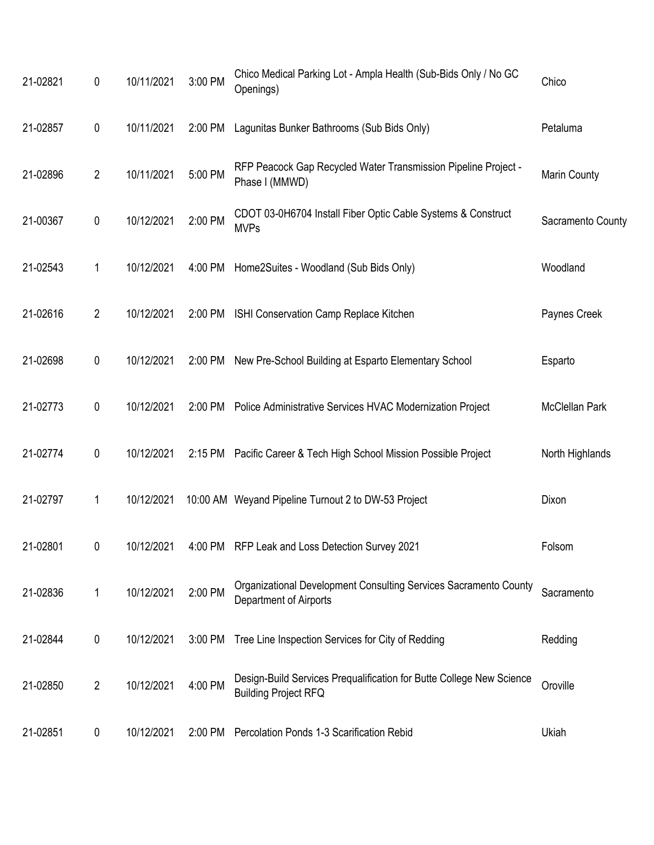| 21-02821 | $\pmb{0}$      | 10/11/2021 | 3:00 PM | Chico Medical Parking Lot - Ampla Health (Sub-Bids Only / No GC<br>Openings)                        | Chico             |
|----------|----------------|------------|---------|-----------------------------------------------------------------------------------------------------|-------------------|
| 21-02857 | $\pmb{0}$      | 10/11/2021 | 2:00 PM | Lagunitas Bunker Bathrooms (Sub Bids Only)                                                          | Petaluma          |
| 21-02896 | $\overline{2}$ | 10/11/2021 | 5:00 PM | RFP Peacock Gap Recycled Water Transmission Pipeline Project -<br>Phase I (MMWD)                    | Marin County      |
| 21-00367 | $\mathbf 0$    | 10/12/2021 | 2:00 PM | CDOT 03-0H6704 Install Fiber Optic Cable Systems & Construct<br><b>MVPs</b>                         | Sacramento County |
| 21-02543 | 1              | 10/12/2021 | 4:00 PM | Home2Suites - Woodland (Sub Bids Only)                                                              | Woodland          |
| 21-02616 | $\overline{2}$ | 10/12/2021 |         | 2:00 PM ISHI Conservation Camp Replace Kitchen                                                      | Paynes Creek      |
| 21-02698 | $\pmb{0}$      | 10/12/2021 | 2:00 PM | New Pre-School Building at Esparto Elementary School                                                | Esparto           |
| 21-02773 | $\mathbf 0$    | 10/12/2021 |         | 2:00 PM Police Administrative Services HVAC Modernization Project                                   | McClellan Park    |
| 21-02774 | $\mathbf 0$    | 10/12/2021 |         | 2:15 PM Pacific Career & Tech High School Mission Possible Project                                  | North Highlands   |
| 21-02797 | 1              | 10/12/2021 |         | 10:00 AM Weyand Pipeline Turnout 2 to DW-53 Project                                                 | Dixon             |
| 21-02801 | 0              | 10/12/2021 |         | 4:00 PM RFP Leak and Loss Detection Survey 2021                                                     | Folsom            |
| 21-02836 | 1              | 10/12/2021 | 2:00 PM | Organizational Development Consulting Services Sacramento County<br>Department of Airports          | Sacramento        |
| 21-02844 | $\pmb{0}$      | 10/12/2021 | 3:00 PM | Tree Line Inspection Services for City of Redding                                                   | Redding           |
| 21-02850 | $\overline{2}$ | 10/12/2021 | 4:00 PM | Design-Build Services Prequalification for Butte College New Science<br><b>Building Project RFQ</b> | Oroville          |
| 21-02851 | 0              | 10/12/2021 | 2:00 PM | Percolation Ponds 1-3 Scarification Rebid                                                           | Ukiah             |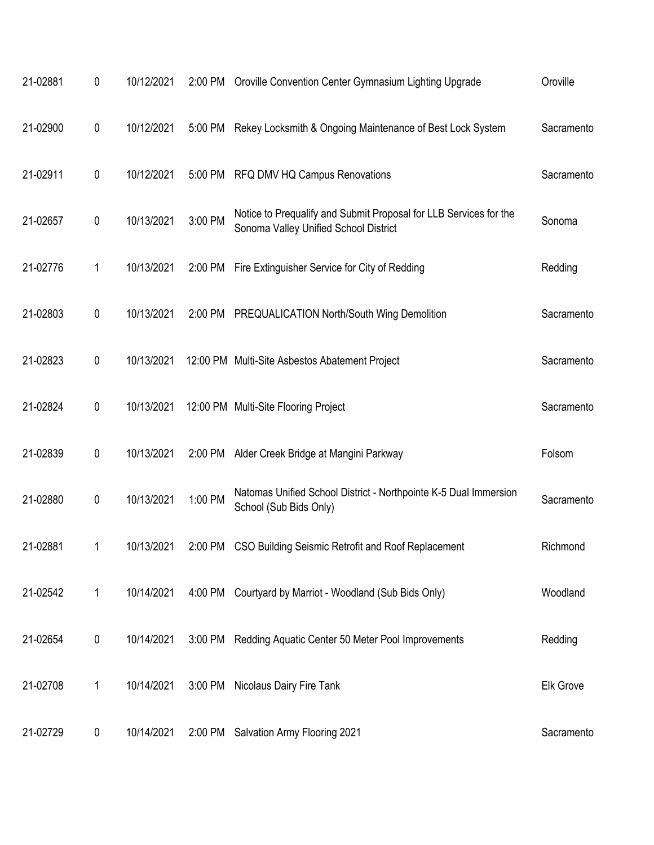| 21-02881 | 0 | 10/12/2021 |         | 2:00 PM Oroville Convention Center Gymnasium Lighting Upgrade                                              | Oroville   |
|----------|---|------------|---------|------------------------------------------------------------------------------------------------------------|------------|
| 21-02900 | 0 | 10/12/2021 |         | 5:00 PM Rekey Locksmith & Ongoing Maintenance of Best Lock System                                          | Sacramento |
| 21-02911 | 0 | 10/12/2021 |         | 5:00 PM RFQ DMV HQ Campus Renovations                                                                      | Sacramento |
| 21-02657 | 0 | 10/13/2021 | 3:00 PM | Notice to Prequalify and Submit Proposal for LLB Services for the<br>Sonoma Valley Unified School District | Sonoma     |
| 21-02776 | 1 | 10/13/2021 |         | 2:00 PM Fire Extinguisher Service for City of Redding                                                      | Redding    |
| 21-02803 | 0 | 10/13/2021 |         | 2:00 PM PREQUALICATION North/South Wing Demolition                                                         | Sacramento |
| 21-02823 | 0 | 10/13/2021 |         | 12:00 PM Multi-Site Asbestos Abatement Project                                                             | Sacramento |
| 21-02824 | 0 | 10/13/2021 |         | 12:00 PM Multi-Site Flooring Project                                                                       | Sacramento |
| 21-02839 | 0 | 10/13/2021 |         | 2:00 PM Alder Creek Bridge at Mangini Parkway                                                              | Folsom     |
| 21-02880 | 0 | 10/13/2021 | 1:00 PM | Natomas Unified School District - Northpointe K-5 Dual Immersion<br>School (Sub Bids Only)                 | Sacramento |
| 21-02881 |   | 10/13/2021 |         | 2:00 PM CSO Building Seismic Retrofit and Roof Replacement                                                 | Richmond   |
| 21-02542 | 1 | 10/14/2021 |         | 4:00 PM Courtyard by Marriot - Woodland (Sub Bids Only)                                                    | Woodland   |
| 21-02654 | 0 | 10/14/2021 |         | 3:00 PM Redding Aquatic Center 50 Meter Pool Improvements                                                  | Redding    |
| 21-02708 | 1 | 10/14/2021 |         | 3:00 PM Nicolaus Dairy Fire Tank                                                                           | Elk Grove  |
| 21-02729 | 0 | 10/14/2021 |         | 2:00 PM Salvation Army Flooring 2021                                                                       | Sacramento |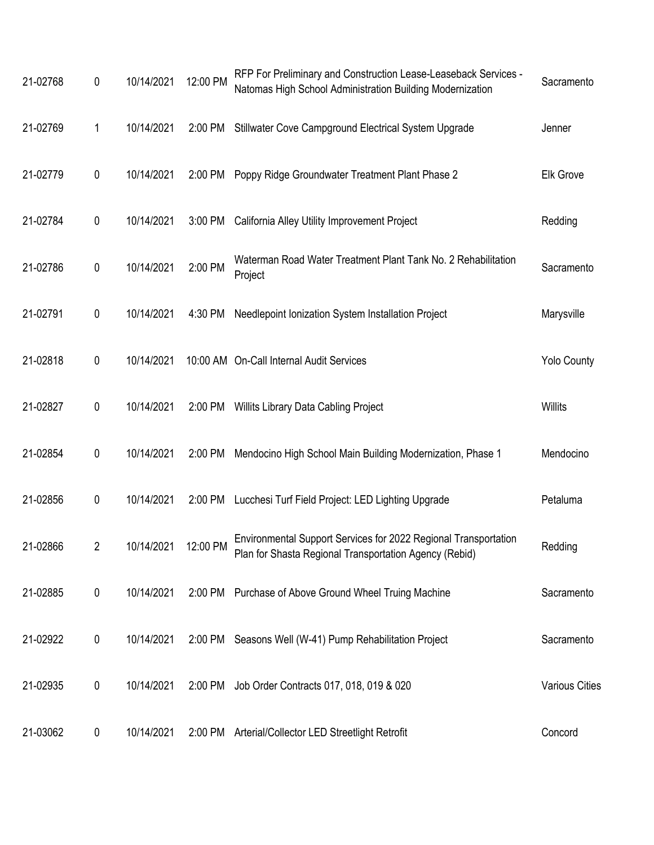| 21-02768 | 0         | 10/14/2021           | 12:00 PM | RFP For Preliminary and Construction Lease-Leaseback Services -<br>Natomas High School Administration Building Modernization | Sacramento            |
|----------|-----------|----------------------|----------|------------------------------------------------------------------------------------------------------------------------------|-----------------------|
| 21-02769 | 1         | 10/14/2021           | 2:00 PM  | Stillwater Cove Campground Electrical System Upgrade                                                                         | Jenner                |
| 21-02779 | 0         | 10/14/2021           | 2:00 PM  | Poppy Ridge Groundwater Treatment Plant Phase 2                                                                              | <b>Elk Grove</b>      |
| 21-02784 | 0         | 10/14/2021           | 3:00 PM  | California Alley Utility Improvement Project                                                                                 | Redding               |
| 21-02786 | 0         | 10/14/2021           | 2:00 PM  | Waterman Road Water Treatment Plant Tank No. 2 Rehabilitation<br>Project                                                     | Sacramento            |
| 21-02791 | 0         | 10/14/2021           | 4:30 PM  | Needlepoint Ionization System Installation Project                                                                           | Marysville            |
| 21-02818 | 0         | 10/14/2021           |          | 10:00 AM On-Call Internal Audit Services                                                                                     | <b>Yolo County</b>    |
| 21-02827 | 0         | 10/14/2021           | 2:00 PM  | Willits Library Data Cabling Project                                                                                         | <b>Willits</b>        |
| 21-02854 | 0         | 10/14/2021           | 2:00 PM  | Mendocino High School Main Building Modernization, Phase 1                                                                   | Mendocino             |
| 21-02856 | 0         | 10/14/2021           | 2:00 PM  | Lucchesi Turf Field Project: LED Lighting Upgrade                                                                            | Petaluma              |
| 21-02866 | 2         | 10/14/2021  12:00 PM |          | Environmental Support Services for 2022 Regional Transportation<br>Plan for Shasta Regional Transportation Agency (Rebid)    | Redding               |
| 21-02885 | $\pmb{0}$ | 10/14/2021           |          | 2:00 PM Purchase of Above Ground Wheel Truing Machine                                                                        | Sacramento            |
| 21-02922 | 0         | 10/14/2021           |          | 2:00 PM Seasons Well (W-41) Pump Rehabilitation Project                                                                      | Sacramento            |
| 21-02935 | 0         | 10/14/2021           |          | 2:00 PM Job Order Contracts 017, 018, 019 & 020                                                                              | <b>Various Cities</b> |
| 21-03062 | 0         | 10/14/2021           |          | 2:00 PM Arterial/Collector LED Streetlight Retrofit                                                                          | Concord               |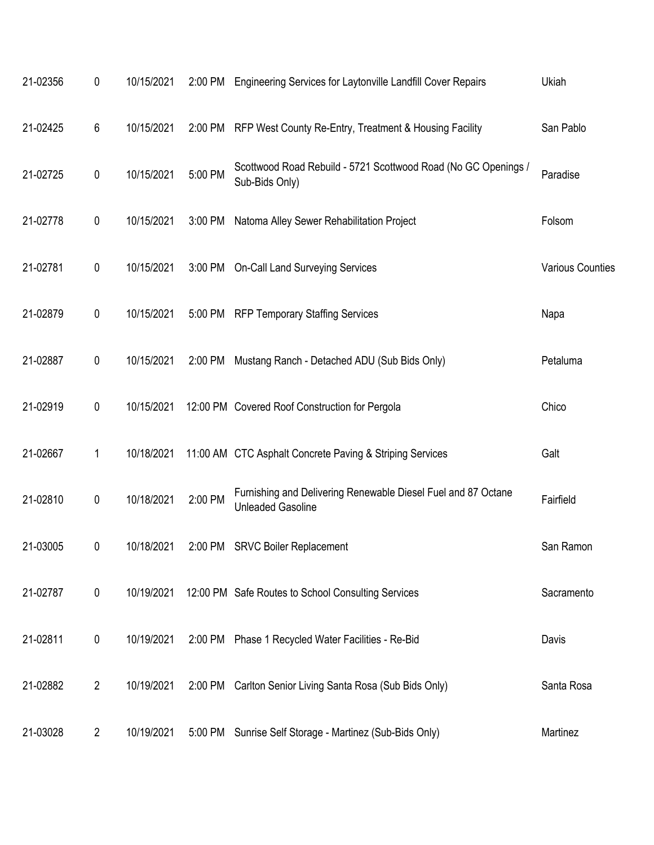| 21-02356 | 0              | 10/15/2021 | 2:00 PM | Engineering Services for Laytonville Landfill Cover Repairs                               | Ukiah                   |
|----------|----------------|------------|---------|-------------------------------------------------------------------------------------------|-------------------------|
| 21-02425 | 6              | 10/15/2021 | 2:00 PM | RFP West County Re-Entry, Treatment & Housing Facility                                    | San Pablo               |
| 21-02725 | 0              | 10/15/2021 | 5:00 PM | Scottwood Road Rebuild - 5721 Scottwood Road (No GC Openings /<br>Sub-Bids Only)          | Paradise                |
| 21-02778 | 0              | 10/15/2021 | 3:00 PM | Natoma Alley Sewer Rehabilitation Project                                                 | Folsom                  |
| 21-02781 | 0              | 10/15/2021 | 3:00 PM | <b>On-Call Land Surveying Services</b>                                                    | <b>Various Counties</b> |
| 21-02879 | 0              | 10/15/2021 | 5:00 PM | <b>RFP Temporary Staffing Services</b>                                                    | Napa                    |
| 21-02887 | 0              | 10/15/2021 | 2:00 PM | Mustang Ranch - Detached ADU (Sub Bids Only)                                              | Petaluma                |
| 21-02919 | 0              | 10/15/2021 |         | 12:00 PM Covered Roof Construction for Pergola                                            | Chico                   |
| 21-02667 | 1              | 10/18/2021 |         | 11:00 AM CTC Asphalt Concrete Paving & Striping Services                                  | Galt                    |
| 21-02810 | $\pmb{0}$      | 10/18/2021 | 2:00 PM | Furnishing and Delivering Renewable Diesel Fuel and 87 Octane<br><b>Unleaded Gasoline</b> | Fairfield               |
| 21-03005 | 0              | 10/18/2021 | 2:00 PM | <b>SRVC Boiler Replacement</b>                                                            | San Ramon               |
| 21-02787 | $\pmb{0}$      | 10/19/2021 |         | 12:00 PM Safe Routes to School Consulting Services                                        | Sacramento              |
| 21-02811 | $\pmb{0}$      | 10/19/2021 | 2:00 PM | Phase 1 Recycled Water Facilities - Re-Bid                                                | Davis                   |
| 21-02882 | $\overline{2}$ | 10/19/2021 | 2:00 PM | Carlton Senior Living Santa Rosa (Sub Bids Only)                                          | Santa Rosa              |
| 21-03028 | $\overline{2}$ | 10/19/2021 | 5:00 PM | Sunrise Self Storage - Martinez (Sub-Bids Only)                                           | Martinez                |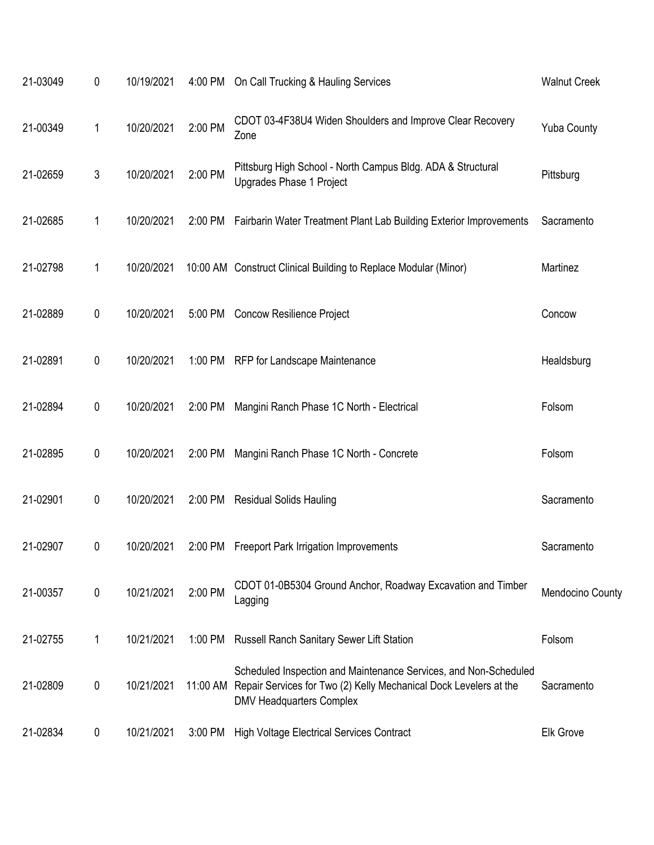| 21-03049 | 0                | 10/19/2021 |         | 4:00 PM On Call Trucking & Hauling Services                                                                                                                                       | <b>Walnut Creek</b> |
|----------|------------------|------------|---------|-----------------------------------------------------------------------------------------------------------------------------------------------------------------------------------|---------------------|
| 21-00349 | 1                | 10/20/2021 | 2:00 PM | CDOT 03-4F38U4 Widen Shoulders and Improve Clear Recovery<br>Zone                                                                                                                 | <b>Yuba County</b>  |
| 21-02659 | 3                | 10/20/2021 | 2:00 PM | Pittsburg High School - North Campus Bldg. ADA & Structural<br>Upgrades Phase 1 Project                                                                                           | Pittsburg           |
| 21-02685 | 1                | 10/20/2021 |         | 2:00 PM Fairbarin Water Treatment Plant Lab Building Exterior Improvements                                                                                                        | Sacramento          |
| 21-02798 | 1                | 10/20/2021 |         | 10:00 AM Construct Clinical Building to Replace Modular (Minor)                                                                                                                   | Martinez            |
| 21-02889 | $\pmb{0}$        | 10/20/2021 |         | 5:00 PM Concow Resilience Project                                                                                                                                                 | Concow              |
| 21-02891 | 0                | 10/20/2021 |         | 1:00 PM RFP for Landscape Maintenance                                                                                                                                             | Healdsburg          |
| 21-02894 | $\pmb{0}$        | 10/20/2021 | 2:00 PM | Mangini Ranch Phase 1C North - Electrical                                                                                                                                         | Folsom              |
| 21-02895 | 0                | 10/20/2021 | 2:00 PM | Mangini Ranch Phase 1C North - Concrete                                                                                                                                           | Folsom              |
| 21-02901 | $\pmb{0}$        | 10/20/2021 |         | 2:00 PM Residual Solids Hauling                                                                                                                                                   | Sacramento          |
| 21-02907 | 0                | 10/20/2021 |         | 2:00 PM Freeport Park Irrigation Improvements                                                                                                                                     | Sacramento          |
| 21-00357 | $\pmb{0}$        | 10/21/2021 | 2:00 PM | CDOT 01-0B5304 Ground Anchor, Roadway Excavation and Timber<br>Lagging                                                                                                            | Mendocino County    |
| 21-02755 | 1                | 10/21/2021 | 1:00 PM | <b>Russell Ranch Sanitary Sewer Lift Station</b>                                                                                                                                  | Folsom              |
| 21-02809 | $\pmb{0}$        | 10/21/2021 |         | Scheduled Inspection and Maintenance Services, and Non-Scheduled<br>11:00 AM Repair Services for Two (2) Kelly Mechanical Dock Levelers at the<br><b>DMV Headquarters Complex</b> | Sacramento          |
| 21-02834 | $\boldsymbol{0}$ | 10/21/2021 | 3:00 PM | <b>High Voltage Electrical Services Contract</b>                                                                                                                                  | Elk Grove           |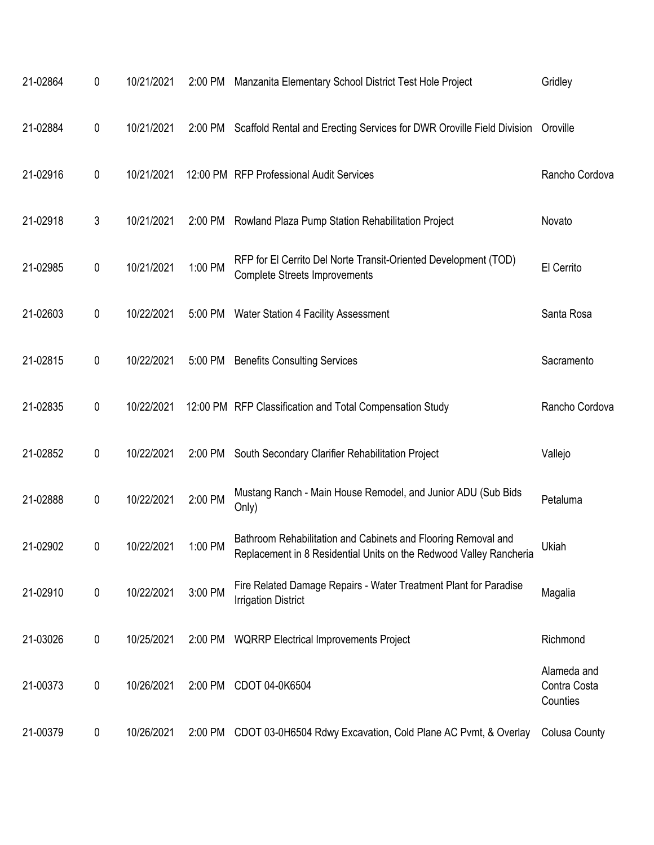| 21-02864 | 0         | 10/21/2021 | 2:00 PM | Manzanita Elementary School District Test Hole Project                                                                              | Gridley                                 |
|----------|-----------|------------|---------|-------------------------------------------------------------------------------------------------------------------------------------|-----------------------------------------|
| 21-02884 | 0         | 10/21/2021 |         | 2:00 PM Scaffold Rental and Erecting Services for DWR Oroville Field Division Oroville                                              |                                         |
| 21-02916 | 0         | 10/21/2021 |         | 12:00 PM RFP Professional Audit Services                                                                                            | Rancho Cordova                          |
| 21-02918 | 3         | 10/21/2021 | 2:00 PM | Rowland Plaza Pump Station Rehabilitation Project                                                                                   | Novato                                  |
| 21-02985 | 0         | 10/21/2021 | 1:00 PM | RFP for El Cerrito Del Norte Transit-Oriented Development (TOD)<br><b>Complete Streets Improvements</b>                             | El Cerrito                              |
| 21-02603 | 0         | 10/22/2021 | 5:00 PM | Water Station 4 Facility Assessment                                                                                                 | Santa Rosa                              |
| 21-02815 | 0         | 10/22/2021 | 5:00 PM | <b>Benefits Consulting Services</b>                                                                                                 | Sacramento                              |
| 21-02835 | $\pmb{0}$ | 10/22/2021 |         | 12:00 PM RFP Classification and Total Compensation Study                                                                            | Rancho Cordova                          |
| 21-02852 | 0         | 10/22/2021 | 2:00 PM | South Secondary Clarifier Rehabilitation Project                                                                                    | Vallejo                                 |
| 21-02888 | 0         | 10/22/2021 | 2:00 PM | Mustang Ranch - Main House Remodel, and Junior ADU (Sub Bids<br>Only)                                                               | Petaluma                                |
| 21-02902 | 0         | 10/22/2021 | 1:00 PM | Bathroom Rehabilitation and Cabinets and Flooring Removal and<br>Replacement in 8 Residential Units on the Redwood Valley Rancheria | Ukiah                                   |
| 21-02910 | $\pmb{0}$ | 10/22/2021 | 3:00 PM | Fire Related Damage Repairs - Water Treatment Plant for Paradise<br><b>Irrigation District</b>                                      | Magalia                                 |
| 21-03026 | 0         | 10/25/2021 | 2:00 PM | <b>WQRRP Electrical Improvements Project</b>                                                                                        | Richmond                                |
| 21-00373 | $\pmb{0}$ | 10/26/2021 | 2:00 PM | CDOT 04-0K6504                                                                                                                      | Alameda and<br>Contra Costa<br>Counties |
| 21-00379 | 0         | 10/26/2021 | 2:00 PM | CDOT 03-0H6504 Rdwy Excavation, Cold Plane AC Pvmt, & Overlay                                                                       | <b>Colusa County</b>                    |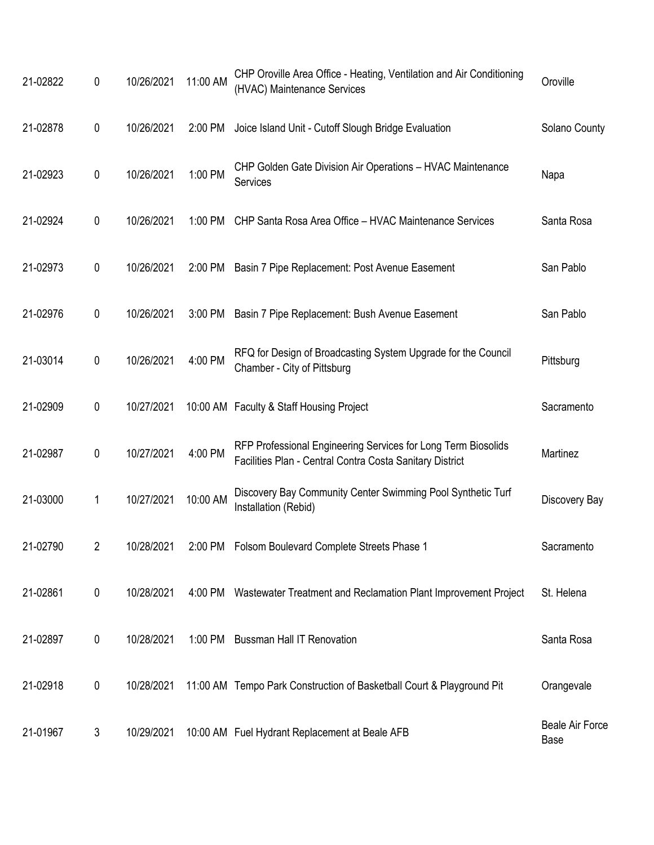| 21-02822 | 0 | 10/26/2021 | 11:00 AM | CHP Oroville Area Office - Heating, Ventilation and Air Conditioning<br>(HVAC) Maintenance Services                       | Oroville                              |
|----------|---|------------|----------|---------------------------------------------------------------------------------------------------------------------------|---------------------------------------|
| 21-02878 | 0 | 10/26/2021 | 2:00 PM  | Joice Island Unit - Cutoff Slough Bridge Evaluation                                                                       | Solano County                         |
| 21-02923 | 0 | 10/26/2021 | 1:00 PM  | CHP Golden Gate Division Air Operations - HVAC Maintenance<br>Services                                                    | Napa                                  |
| 21-02924 | 0 | 10/26/2021 | 1:00 PM  | CHP Santa Rosa Area Office - HVAC Maintenance Services                                                                    | Santa Rosa                            |
| 21-02973 | 0 | 10/26/2021 | 2:00 PM  | Basin 7 Pipe Replacement: Post Avenue Easement                                                                            | San Pablo                             |
| 21-02976 | 0 | 10/26/2021 | 3:00 PM  | Basin 7 Pipe Replacement: Bush Avenue Easement                                                                            | San Pablo                             |
| 21-03014 | 0 | 10/26/2021 | 4:00 PM  | RFQ for Design of Broadcasting System Upgrade for the Council<br>Chamber - City of Pittsburg                              | Pittsburg                             |
| 21-02909 | 0 | 10/27/2021 |          | 10:00 AM Faculty & Staff Housing Project                                                                                  | Sacramento                            |
| 21-02987 | 0 | 10/27/2021 | 4:00 PM  | RFP Professional Engineering Services for Long Term Biosolids<br>Facilities Plan - Central Contra Costa Sanitary District | Martinez                              |
| 21-03000 | 1 | 10/27/2021 | 10:00 AM | Discovery Bay Community Center Swimming Pool Synthetic Turf<br>Installation (Rebid)                                       | Discovery Bay                         |
| 21-02790 | 2 |            |          | 10/28/2021 2:00 PM Folsom Boulevard Complete Streets Phase 1                                                              | Sacramento                            |
| 21-02861 | 0 | 10/28/2021 |          | 4:00 PM Wastewater Treatment and Reclamation Plant Improvement Project                                                    | St. Helena                            |
| 21-02897 | 0 | 10/28/2021 | 1:00 PM  | <b>Bussman Hall IT Renovation</b>                                                                                         | Santa Rosa                            |
| 21-02918 | 0 | 10/28/2021 |          | 11:00 AM Tempo Park Construction of Basketball Court & Playground Pit                                                     | Orangevale                            |
| 21-01967 | 3 | 10/29/2021 |          | 10:00 AM Fuel Hydrant Replacement at Beale AFB                                                                            | <b>Beale Air Force</b><br><b>Base</b> |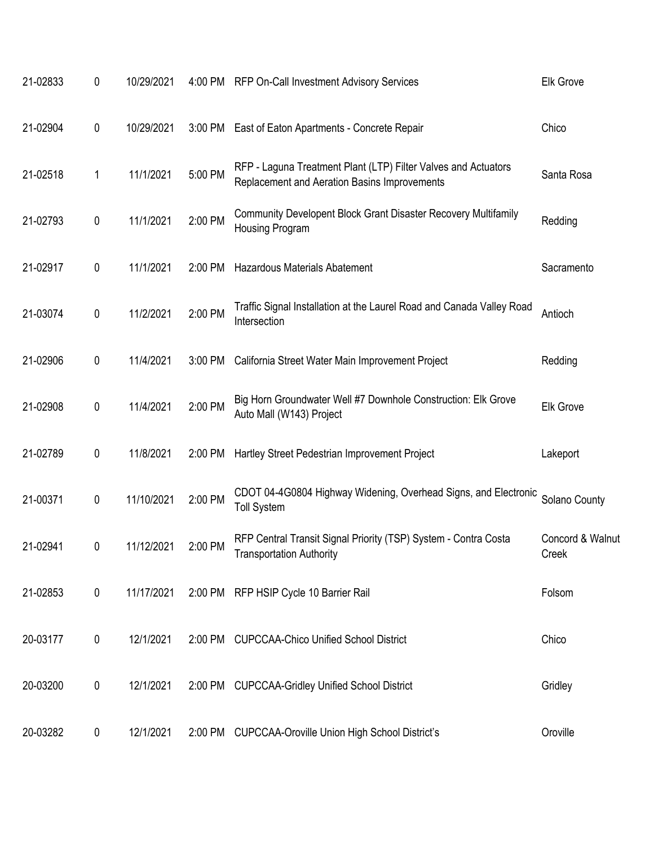| 21-02833 | 0         | 10/29/2021 |         | 4:00 PM RFP On-Call Investment Advisory Services                                                               | <b>Elk Grove</b>          |
|----------|-----------|------------|---------|----------------------------------------------------------------------------------------------------------------|---------------------------|
| 21-02904 | 0         | 10/29/2021 | 3:00 PM | East of Eaton Apartments - Concrete Repair                                                                     | Chico                     |
| 21-02518 | 1         | 11/1/2021  | 5:00 PM | RFP - Laguna Treatment Plant (LTP) Filter Valves and Actuators<br>Replacement and Aeration Basins Improvements | Santa Rosa                |
| 21-02793 | 0         | 11/1/2021  | 2:00 PM | Community Developent Block Grant Disaster Recovery Multifamily<br>Housing Program                              | Redding                   |
| 21-02917 | 0         | 11/1/2021  | 2:00 PM | Hazardous Materials Abatement                                                                                  | Sacramento                |
| 21-03074 | 0         | 11/2/2021  | 2:00 PM | Traffic Signal Installation at the Laurel Road and Canada Valley Road<br>Intersection                          | Antioch                   |
| 21-02906 | 0         | 11/4/2021  | 3:00 PM | California Street Water Main Improvement Project                                                               | Redding                   |
| 21-02908 | 0         | 11/4/2021  | 2:00 PM | Big Horn Groundwater Well #7 Downhole Construction: Elk Grove<br>Auto Mall (W143) Project                      | Elk Grove                 |
| 21-02789 | 0         | 11/8/2021  | 2:00 PM | Hartley Street Pedestrian Improvement Project                                                                  | Lakeport                  |
| 21-00371 | 0         | 11/10/2021 | 2:00 PM | CDOT 04-4G0804 Highway Widening, Overhead Signs, and Electronic<br><b>Toll System</b>                          | Solano County             |
| 21-02941 | 0         | 11/12/2021 | 2:00 PM | RFP Central Transit Signal Priority (TSP) System - Contra Costa<br>Transportation Authority                    | Concord & Walnut<br>Creek |
| 21-02853 | $\pmb{0}$ | 11/17/2021 |         | 2:00 PM RFP HSIP Cycle 10 Barrier Rail                                                                         | Folsom                    |
| 20-03177 | 0         | 12/1/2021  | 2:00 PM | <b>CUPCCAA-Chico Unified School District</b>                                                                   | Chico                     |
| 20-03200 | 0         | 12/1/2021  | 2:00 PM | <b>CUPCCAA-Gridley Unified School District</b>                                                                 | Gridley                   |
| 20-03282 | 0         | 12/1/2021  | 2:00 PM | <b>CUPCCAA-Oroville Union High School District's</b>                                                           | Oroville                  |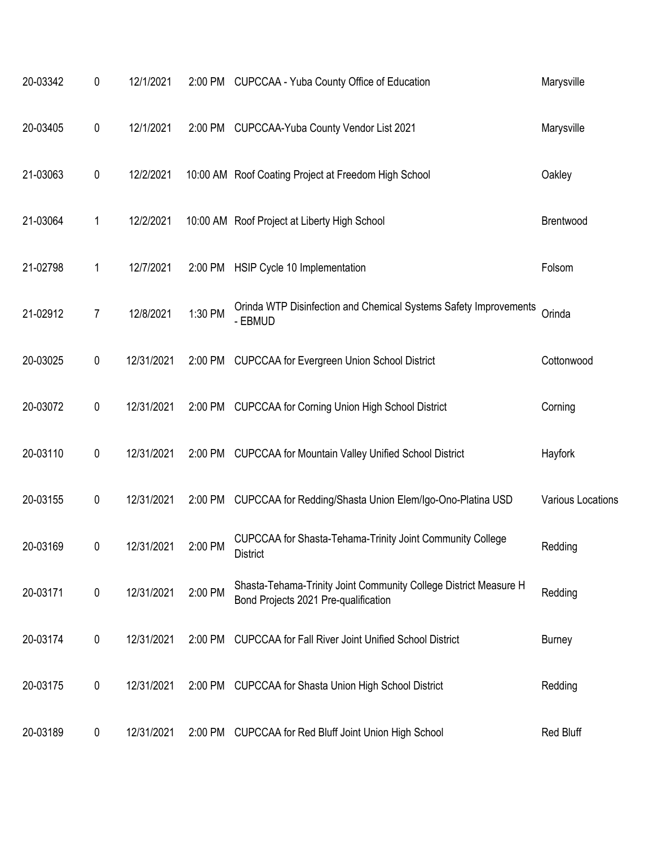| 20-03342 | 0              | 12/1/2021  |         | 2:00 PM CUPCCAA - Yuba County Office of Education                                                        | Marysville        |
|----------|----------------|------------|---------|----------------------------------------------------------------------------------------------------------|-------------------|
| 20-03405 | 0              | 12/1/2021  | 2:00 PM | CUPCCAA-Yuba County Vendor List 2021                                                                     | Marysville        |
| 21-03063 | 0              | 12/2/2021  |         | 10:00 AM Roof Coating Project at Freedom High School                                                     | Oakley            |
| 21-03064 | 1              | 12/2/2021  |         | 10:00 AM Roof Project at Liberty High School                                                             | Brentwood         |
| 21-02798 | 1              | 12/7/2021  | 2:00 PM | HSIP Cycle 10 Implementation                                                                             | Folsom            |
| 21-02912 | $\overline{7}$ | 12/8/2021  | 1:30 PM | Orinda WTP Disinfection and Chemical Systems Safety Improvements<br>- EBMUD                              | Orinda            |
| 20-03025 | 0              | 12/31/2021 | 2:00 PM | <b>CUPCCAA for Evergreen Union School District</b>                                                       | Cottonwood        |
| 20-03072 | 0              | 12/31/2021 | 2:00 PM | <b>CUPCCAA for Corning Union High School District</b>                                                    | Corning           |
| 20-03110 | 0              | 12/31/2021 | 2:00 PM | <b>CUPCCAA for Mountain Valley Unified School District</b>                                               | <b>Hayfork</b>    |
| 20-03155 | 0              | 12/31/2021 | 2:00 PM | CUPCCAA for Redding/Shasta Union Elem/Igo-Ono-Platina USD                                                | Various Locations |
| 20-03169 | 0              | 12/31/2021 | 2:00 PM | CUPCCAA for Shasta-Tehama-Trinity Joint Community College<br><b>District</b>                             | Redding           |
| 20-03171 | $\pmb{0}$      | 12/31/2021 | 2:00 PM | Shasta-Tehama-Trinity Joint Community College District Measure H<br>Bond Projects 2021 Pre-qualification | Redding           |
| 20-03174 | 0              | 12/31/2021 | 2:00 PM | <b>CUPCCAA for Fall River Joint Unified School District</b>                                              | <b>Burney</b>     |
| 20-03175 | 0              | 12/31/2021 | 2:00 PM | <b>CUPCCAA for Shasta Union High School District</b>                                                     | Redding           |
| 20-03189 | 0              | 12/31/2021 | 2:00 PM | <b>CUPCCAA for Red Bluff Joint Union High School</b>                                                     | Red Bluff         |